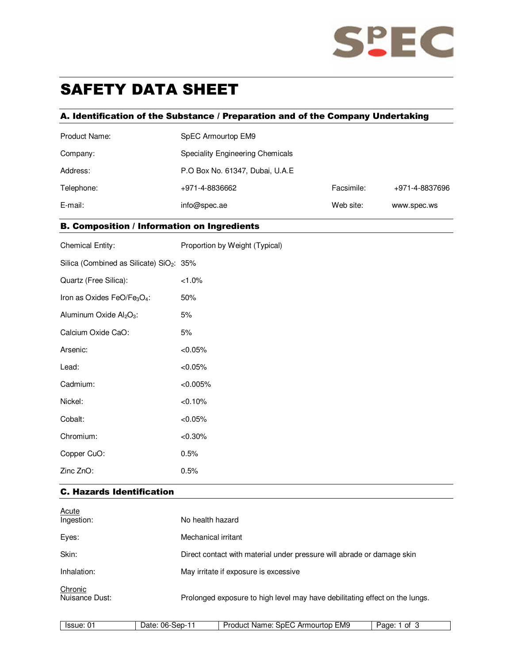

# SAFETY DATA SHEET

## A. Identification of the Substance / Preparation and of the Company Undertaking

| Product Name: | SpEC Armourtop EM9                      |            |                |  |
|---------------|-----------------------------------------|------------|----------------|--|
| Company:      | <b>Speciality Engineering Chemicals</b> |            |                |  |
| Address:      | P.O Box No. 61347, Dubai, U.A.E         |            |                |  |
| Telephone:    | +971-4-8836662                          | Facsimile: | +971-4-8837696 |  |
| E-mail:       | info@spec.ae                            | Web site:  | www.spec.ws    |  |

## B. Composition / Information on Ingredients

| <b>Chemical Entity:</b>                              | Proportion by Weight (Typical) |  |  |
|------------------------------------------------------|--------------------------------|--|--|
| Silica (Combined as Silicate) SiO <sub>2</sub> : 35% |                                |  |  |
| Quartz (Free Silica):                                | $< 1.0\%$                      |  |  |
| Iron as Oxides FeO/Fe3O4:                            | 50%                            |  |  |
| Aluminum Oxide Al <sub>2</sub> O <sub>3</sub> :      | 5%                             |  |  |
| Calcium Oxide CaO:                                   | 5%                             |  |  |
| Arsenic:                                             | < 0.05%                        |  |  |
| Lead:                                                | < 0.05%                        |  |  |
| Cadmium:                                             | $< 0.005\%$                    |  |  |
| Nickel:                                              | < 0.10%                        |  |  |
| Cobalt:                                              | < 0.05%                        |  |  |
| Chromium:                                            | $< 0.30\%$                     |  |  |
| Copper CuO:                                          | 0.5%                           |  |  |
| Zinc ZnO:                                            | 0.5%                           |  |  |

## C. Hazards Identification

| <u>Acute</u><br>Ingestion: | No health hazard                                                            |
|----------------------------|-----------------------------------------------------------------------------|
| Eyes:                      | Mechanical irritant                                                         |
| Skin:                      | Direct contact with material under pressure will abrade or damage skin      |
| Inhalation:                | May irritate if exposure is excessive                                       |
| Chronic<br>Nuisance Dust:  | Prolonged exposure to high level may have debilitating effect on the lungs. |

| EMS<br>06-<br>.<br>Arr<br>iourtob<br>sep-<br>Οt<br><b>The Factor</b><br>ssue<br>)ລາ<br>็∩n<br>n<br><b>Name</b><br>רוכ<br>ane<br>.<br>$\cdot$ |
|----------------------------------------------------------------------------------------------------------------------------------------------|
|----------------------------------------------------------------------------------------------------------------------------------------------|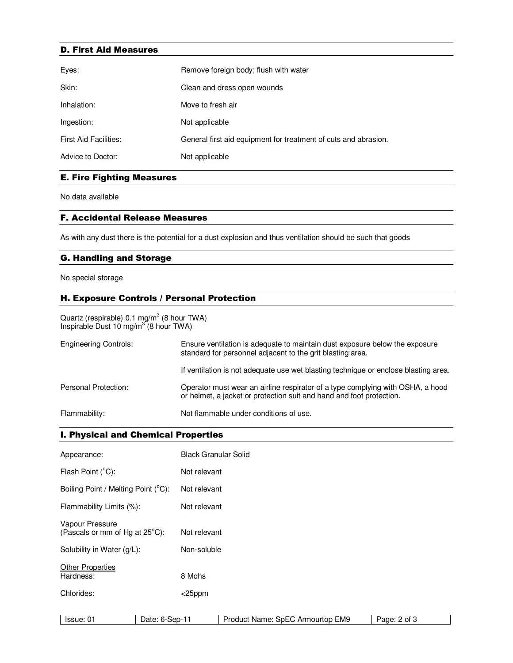#### D. First Aid Measures

| Eyes:                        | Remove foreign body; flush with water                           |  |  |
|------------------------------|-----------------------------------------------------------------|--|--|
| Skin:                        | Clean and dress open wounds                                     |  |  |
| Inhalation:                  | Move to fresh air                                               |  |  |
| Ingestion:                   | Not applicable                                                  |  |  |
| <b>First Aid Facilities:</b> | General first aid equipment for treatment of cuts and abrasion. |  |  |
| Advice to Doctor:            | Not applicable                                                  |  |  |

## E. Fire Fighting Measures

No data available

#### F. Accidental Release Measures

As with any dust there is the potential for a dust explosion and thus ventilation should be such that goods

### G. Handling and Storage

No special storage

## H. Exposure Controls / Personal Protection

Quartz (respirable) 0.1 mg/m $3$  (8 hour TWA) Inspirable Dust 10 mg/m<sup>3</sup> (8 hour TWA)

| <b>Engineering Controls:</b> | Ensure ventilation is adequate to maintain dust exposure below the exposure<br>standard for personnel adjacent to the grit blasting area.              |  |
|------------------------------|--------------------------------------------------------------------------------------------------------------------------------------------------------|--|
|                              | If ventilation is not adequate use wet blasting technique or enclose blasting area.                                                                    |  |
| Personal Protection:         | Operator must wear an airline respirator of a type complying with OSHA, a hood<br>or helmet, a jacket or protection suit and hand and foot protection. |  |
| Flammability:                | Not flammable under conditions of use.                                                                                                                 |  |

## I. Physical and Chemical Properties

| Appearance:                                       | <b>Black Granular Solid</b> |                                  |              |
|---------------------------------------------------|-----------------------------|----------------------------------|--------------|
| Flash Point (°C):                                 | Not relevant                |                                  |              |
| Boiling Point / Melting Point (°C):               | Not relevant                |                                  |              |
| Flammability Limits (%):                          | Not relevant                |                                  |              |
| Vapour Pressure<br>(Pascals or mm of Hg at 25°C): | Not relevant                |                                  |              |
| Solubility in Water (g/L):                        | Non-soluble                 |                                  |              |
| <b>Other Properties</b><br>Hardness:              | 8 Mohs                      |                                  |              |
| Chlorides:                                        | $<$ 25ppm                   |                                  |              |
|                                                   |                             |                                  |              |
| Issue: 01                                         | Date: 6-Sep-11              | Product Name: SpEC Armourtop EM9 | Page: 2 of 3 |